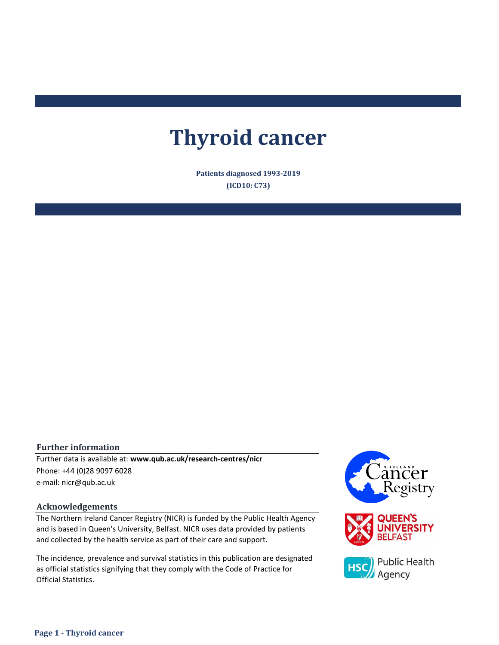# **Thyroid cancer**

**Patients diagnosed 1993-2019 (ICD10: C73)**

### **Further information**

e-mail: nicr@qub.ac.uk Further data is available at: **www.qub.ac.uk/research-centres/nicr** Phone: +44 (0)28 9097 6028

#### **Acknowledgements**

The Northern Ireland Cancer Registry (NICR) is funded by the Public Health Agency and is based in Queen's University, Belfast. NICR uses data provided by patients and collected by the health service as part of their care and support.

The incidence, prevalence and survival statistics in this publication are designated as official statistics signifying that they comply with the Code of Practice for Official Statistics.

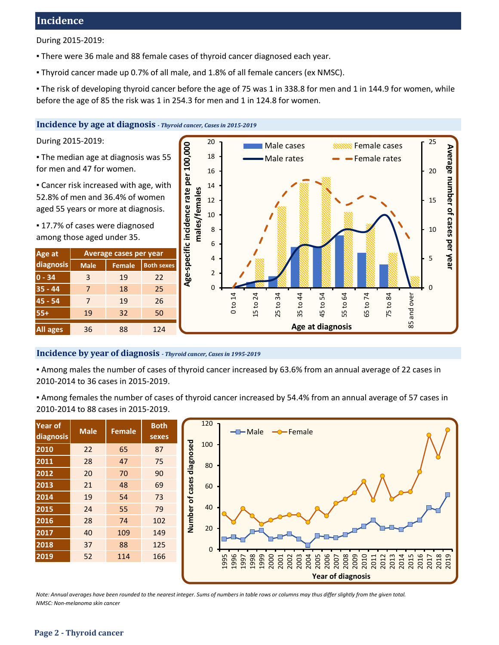# **Incidence**

During 2015-2019:

- **There were 36 male and 88 female cases of thyroid cancer diagnosed each year.**
- Thyroid cancer made up 0.7% of all male, and 1.8% of all female cancers (ex NMSC).

▪ The risk of developing thyroid cancer before the age of 75 was 1 in 338.8 for men and 1 in 144.9 for women, while before the age of 85 the risk was 1 in 254.3 for men and 1 in 124.8 for women.

### **Incidence by age at diagnosis** *- Thyroid cancer, Cases in 2015-2019*

During 2015-2019:

▪ The median age at diagnosis was 55 for men and 47 for women.

**Example 2** Cancer risk increased with age, with 52.8% of men and 36.4% of women aged 55 years or more at diagnosis.

■ 17.7% of cases were diagnosed among those aged under 35.

| Age at          |             | Average cases per year |                   |  |  |  |
|-----------------|-------------|------------------------|-------------------|--|--|--|
| diagnosis       | <b>Male</b> | <b>Female</b>          | <b>Both sexes</b> |  |  |  |
| $0 - 34$        | 3           | 19                     | 22                |  |  |  |
| $35 - 44$       | 7           | 18                     | 25                |  |  |  |
| $45 - 54$       | 7           | 19                     | 26                |  |  |  |
| $55+$           | 19          | 32                     | 50                |  |  |  |
| <b>All ages</b> | 36          | 88                     | 124               |  |  |  |



### **Incidence by year of diagnosis** *- Thyroid cancer, Cases in 1995-2019*

▪ Among males the number of cases of thyroid cancer increased by 63.6% from an annual average of 22 cases in 2010-2014 to 36 cases in 2015-2019.

▪ Among females the number of cases of thyroid cancer increased by 54.4% from an annual average of 57 cases in 2010-2014 to 88 cases in 2015-2019.

| <b>Year of</b><br>diagnosis | <b>Male</b> | <b>Female</b> | <b>Both</b><br>sexes |  |  |
|-----------------------------|-------------|---------------|----------------------|--|--|
| 2010                        | 22          | 65            | 87                   |  |  |
| 2011                        | 28          | 47            | 75                   |  |  |
| 2012                        | 20          | 70            | 90                   |  |  |
| 2013                        | 21          | 48            | 69                   |  |  |
| 2014                        | 19          | 54            | 73                   |  |  |
| 2015                        | 24          | 55            | 79                   |  |  |
| 2016                        | 28          | 74            | 102                  |  |  |
| 2017                        | 40          | 109           | 149                  |  |  |
| 2018                        | 37          | 88            | 125                  |  |  |
| 2019                        | 52          | 114           | 166                  |  |  |



*Note: Annual averages have been rounded to the nearest integer. Sums of numbers in table rows or columns may thus differ slightly from the given total. NMSC: Non-melanoma skin cancer*

### **Page 2 - Thyroid cancer**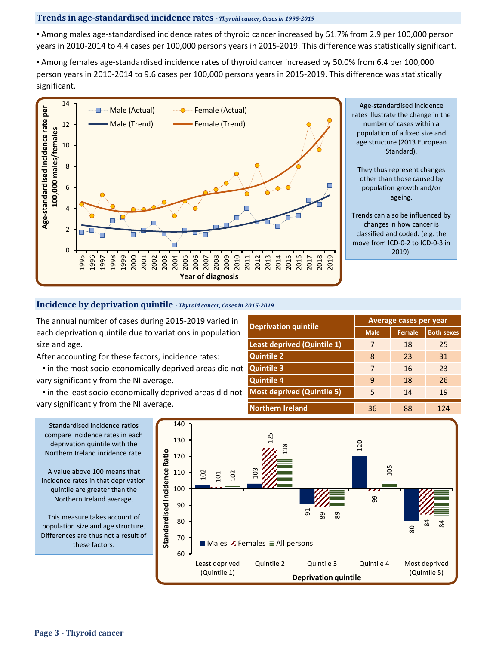### **Trends in age-standardised incidence rates** *- Thyroid cancer, Cases in 1995-2019*

▪ Among males age-standardised incidence rates of thyroid cancer increased by 51.7% from 2.9 per 100,000 person years in 2010-2014 to 4.4 cases per 100,000 persons years in 2015-2019. This difference was statistically significant.

▪ Among females age-standardised incidence rates of thyroid cancer increased by 50.0% from 6.4 per 100,000 person years in 2010-2014 to 9.6 cases per 100,000 persons years in 2015-2019. This difference was statistically significant.



Age-standardised incidence rates illustrate the change in the number of cases within a population of a fixed size and age structure (2013 European Standard).

They thus represent changes other than those caused by population growth and/or ageing.

Trends can also be influenced by changes in how cancer is classified and coded. (e.g. the move from ICD-0-2 to ICD-0-3 in 2019).

### **Incidence by deprivation quintile** *- Thyroid cancer, Cases in 2015-2019*

The annual number of cases during 2015-2019 varied in each deprivation quintile due to variations in population size and age.

After accounting for these factors, incidence rates:

 ▪ in the most socio-economically deprived areas did not vary significantly from the NI average.

 ▪ in the least socio-economically deprived areas did not vary significantly from the NI average.

| <b>Deprivation quintile</b>        | Average cases per year |               |                   |  |  |  |
|------------------------------------|------------------------|---------------|-------------------|--|--|--|
|                                    | <b>Male</b>            | <b>Female</b> | <b>Both sexes</b> |  |  |  |
| <b>Least deprived (Quintile 1)</b> | 7                      | 18            | 25                |  |  |  |
| <b>Quintile 2</b>                  | 8                      | 23            |                   |  |  |  |
| <b>Quintile 3</b>                  | 7                      | 16            | 23                |  |  |  |
| <b>Quintile 4</b>                  | 9                      | 18            | 26                |  |  |  |
| <b>Most deprived (Quintile 5)</b>  | 5                      | 14            | 19                |  |  |  |
| <b>Northern Ireland</b>            | 36                     | 88            | 124               |  |  |  |



A value above 100 means that incidence rates in that deprivation quintile are greater than the Northern Ireland average.

This measure takes account of population size and age structure. Differences are thus not a result of these factors.

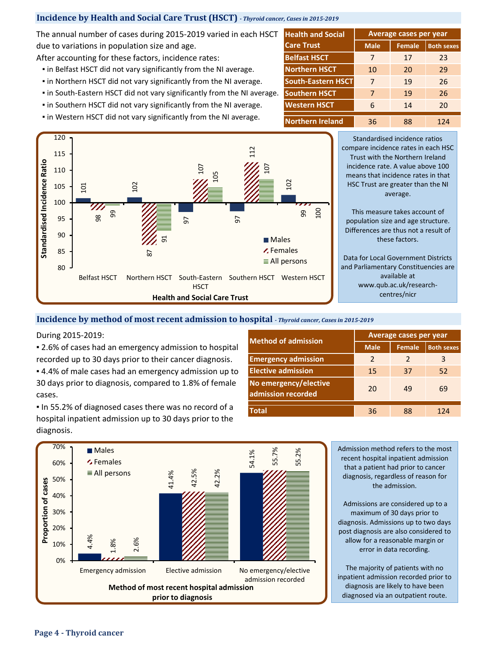### **Incidence by Health and Social Care Trust (HSCT)** *- Thyroid cancer, Cases in 2015-2019*

The annual number of cases during 2015-2019 varied in each HSCT due to variations in population size and age.

After accounting for these factors, incidence rates: **Belfast HSCT** 

- **.** in Belfast HSCT did not vary significantly from the NI average.
- **.** in Northern HSCT did not vary significantly from the NI average.
- in South-Eastern HSCT did not vary significantly from the NI average.
- **.** in Southern HSCT did not vary significantly from the NI average.
- **.** in Western HSCT did not vary significantly from the NI average.



**Male Female Both sexes** 7 17 23 10 20 29 7 19 26 7 19 26 6 14 20 36 88 124 **Northern Ireland Northern HSCT South-Eastern HSCT Average cases per year Western HSCT Health and Social Care Trust Southern HSCT**

> Standardised incidence ratios compare incidence rates in each HSC Trust with the Northern Ireland incidence rate. A value above 100 means that incidence rates in that HSC Trust are greater than the NI average.

This measure takes account of population size and age structure. Differences are thus not a result of these factors.

Data for Local Government Districts and Parliamentary Constituencies are available at www.qub.ac.uk/researchcentres/nicr

### **Incidence by method of most recent admission to hospital** *- Thyroid cancer, Cases in 2015-2019*

During 2015-2019:

■ 2.6% of cases had an emergency admission to hospital recorded up to 30 days prior to their cancer diagnosis.

**4.4% of male cases had an emergency admission up to** 30 days prior to diagnosis, compared to 1.8% of female cases.

▪ In 55.2% of diagnosed cases there was no record of a hospital inpatient admission up to 30 days prior to the diagnosis.

| <b>Method of admission</b>                  | <b>Average cases per year</b> |               |                   |  |  |  |  |
|---------------------------------------------|-------------------------------|---------------|-------------------|--|--|--|--|
|                                             | <b>Male</b>                   | <b>Female</b> | <b>Both sexes</b> |  |  |  |  |
| <b>Emergency admission</b>                  | 2                             | $\mathcal{L}$ | 3                 |  |  |  |  |
| <b>Elective admission</b>                   | 15                            | 37            | 52                |  |  |  |  |
| No emergency/elective<br>admission recorded | 20                            | 49            | 69                |  |  |  |  |
| <b>Total</b>                                | 36                            | 88            | 124               |  |  |  |  |



Admission method refers to the most recent hospital inpatient admission that a patient had prior to cancer diagnosis, regardless of reason for the admission.

Admissions are considered up to a maximum of 30 days prior to diagnosis. Admissions up to two days post diagnosis are also considered to allow for a reasonable margin or error in data recording.

The majority of patients with no inpatient admission recorded prior to diagnosis are likely to have been diagnosed via an outpatient route.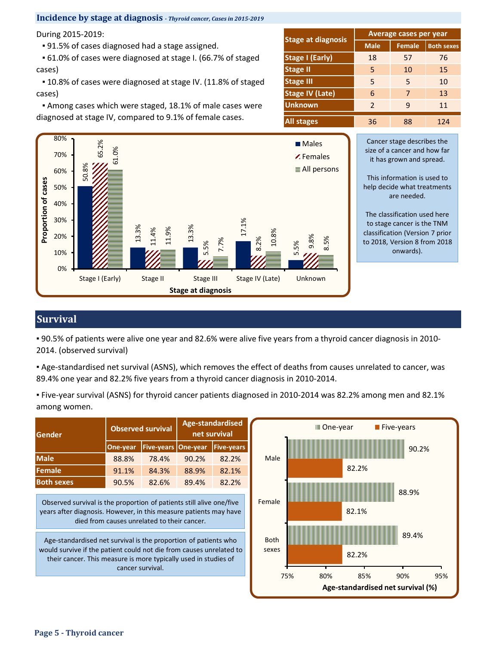### **Incidence by stage at diagnosis** *- Thyroid cancer, Cases in 2015-2019*

| During 2015-2019:                                             |                           |               | <b>Average cases per year</b> |                   |
|---------------------------------------------------------------|---------------------------|---------------|-------------------------------|-------------------|
| .91.5% of cases diagnosed had a stage assigned.               | <b>Stage at diagnosis</b> | <b>Male</b>   | Female                        | <b>Both sexes</b> |
| • 61.0% of cases were diagnosed at stage I. (66.7% of staged  | <b>Stage I (Early)</b>    | 18            | 57                            | 76                |
| cases)                                                        | <b>Stage II</b>           | 5             | 10                            | 15                |
| ■ 10.8% of cases were diagnosed at stage IV. (11.8% of staged | <b>Stage III</b>          | 5             | 5                             | 10                |
| cases)                                                        | <b>Stage IV (Late)</b>    | 6             | 7                             | 13                |
| Among cases which were staged, 18.1% of male cases were       | <b>Unknown</b>            | $\mathcal{P}$ | 9                             | 11                |
| diagnosed at stage IV, compared to 9.1% of female cases.      | <b>All stages</b>         | 36            | 88                            | 124               |



Cancer stage describes the size of a cancer and how far it has grown and spread.

This information is used to help decide what treatments are needed.

The classification used here to stage cancer is the TNM classification (Version 7 prior to 2018, Version 8 from 2018 onwards).

## **Survival**

▪ 90.5% of patients were alive one year and 82.6% were alive five years from a thyroid cancer diagnosis in 2010- 2014. (observed survival)

▪ Age-standardised net survival (ASNS), which removes the effect of deaths from causes unrelated to cancer, was 89.4% one year and 82.2% five years from a thyroid cancer diagnosis in 2010-2014.

▪ Five-year survival (ASNS) for thyroid cancer patients diagnosed in 2010-2014 was 82.2% among men and 82.1% among women.

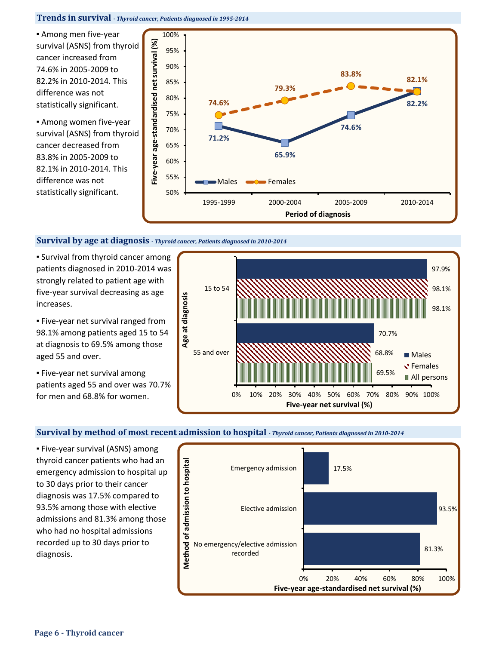#### **Trends in survival** *- Thyroid cancer, Patients diagnosed in 1995-2014*

▪ Among men five-year survival (ASNS) from thyroid cancer increased from 74.6% in 2005-2009 to 82.2% in 2010-2014. This difference was not statistically significant.

▪ Among women five-year survival (ASNS) from thyroid cancer decreased from 83.8% in 2005-2009 to 82.1% in 2010-2014. This difference was not statistically significant.



#### **Survival by age at diagnosis** *- Thyroid cancer, Patients diagnosed in 2010-2014*

**E** Survival from thyroid cancer among patients diagnosed in 2010-2014 was strongly related to patient age with five-year survival decreasing as age increases.

**· Five-year net survival ranged from** 98.1% among patients aged 15 to 54 at diagnosis to 69.5% among those aged 55 and over.

▪ Five-year net survival among patients aged 55 and over was 70.7% for men and 68.8% for women.



### **Survival by method of most recent admission to hospital** *- Thyroid cancer, Patients diagnosed in 2010-2014*

**Eive-year survival (ASNS) among** thyroid cancer patients who had an emergency admission to hospital up to 30 days prior to their cancer diagnosis was 17.5% compared to 93.5% among those with elective admissions and 81.3% among those who had no hospital admissions recorded up to 30 days prior to diagnosis.

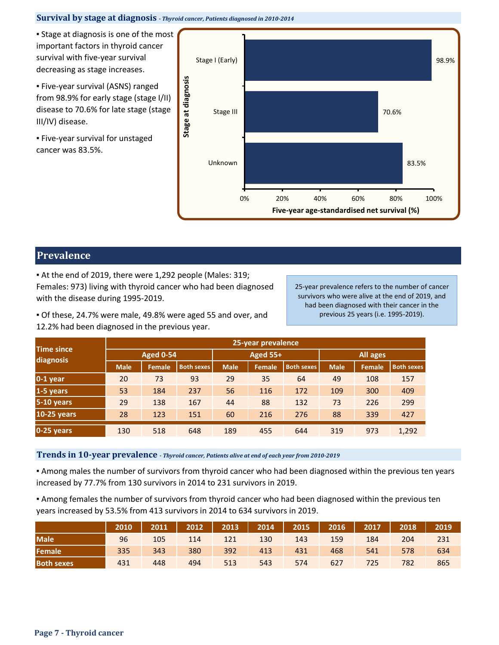### **Survival by stage at diagnosis** *- Thyroid cancer, Patients diagnosed in 2010-2014*

**• Stage at diagnosis is one of the most** important factors in thyroid cancer survival with five-year survival decreasing as stage increases.

▪ Five-year survival (ASNS) ranged from 98.9% for early stage (stage I/II) disease to 70.6% for late stage (stage III/IV) disease.

**Eive-year survival for unstaged** cancer was 83.5%.



### **Prevalence**

▪ At the end of 2019, there were 1,292 people (Males: 319; Females: 973) living with thyroid cancer who had been diagnosed with the disease during 1995-2019.

25-year prevalence refers to the number of cancer survivors who were alive at the end of 2019, and had been diagnosed with their cancer in the previous 25 years (i.e. 1995-2019).

▪ Of these, 24.7% were male, 49.8% were aged 55 and over, and 12.2% had been diagnosed in the previous year.

| <b>Time since</b><br>diagnosis | 25-year prevalence |               |                   |             |                 |                   |             |        |                   |  |  |
|--------------------------------|--------------------|---------------|-------------------|-------------|-----------------|-------------------|-------------|--------|-------------------|--|--|
|                                | <b>Aged 0-54</b>   |               |                   |             | <b>Aged 55+</b> |                   | All ages    |        |                   |  |  |
|                                | <b>Male</b>        | <b>Female</b> | <b>Both sexes</b> | <b>Male</b> | <b>Female</b>   | <b>Both sexes</b> | <b>Male</b> | Female | <b>Both sexes</b> |  |  |
| $0-1$ year                     | 20                 | 73            | 93                | 29          | 35              | 64                | 49          | 108    | 157               |  |  |
| 1-5 years                      | 53                 | 184           | 237               | 56          | 116             | 172               | 109         | 300    | 409               |  |  |
| 5-10 years                     | 29                 | 138           | 167               | 44          | 88              | 132               | 73          | 226    | 299               |  |  |
| <b>10-25 years</b>             | 28                 | 123           | 151               | 60          | 216             | 276               | 88          | 339    | 427               |  |  |
| 0-25 years                     | 130                | 518           | 648               | 189         | 455             | 644               | 319         | 973    | 1,292             |  |  |

**Trends in 10-year prevalence** *- Thyroid cancer, Patients alive at end of each year from 2010-2019*

▪ Among males the number of survivors from thyroid cancer who had been diagnosed within the previous ten years increased by 77.7% from 130 survivors in 2014 to 231 survivors in 2019.

▪ Among females the number of survivors from thyroid cancer who had been diagnosed within the previous ten years increased by 53.5% from 413 survivors in 2014 to 634 survivors in 2019.

|                   | 2010 | 2011 | 2012 | 2013 | 2014 | 2015 | 2016 | 2017 | 2018 | 2019 |
|-------------------|------|------|------|------|------|------|------|------|------|------|
| <b>Male</b>       | 96   | 105  | 114  | 121  | 130  | 143  | 159  | 184  | 204  | 231  |
| Female            | 335  | 343  | 380  | 392  | 413  | 431  | 468  | 541  | 578  | 634  |
| <b>Both sexes</b> | 431  | 448  | 494  | 513  | 543  | 574  | 627  | 725  | 782  | 865  |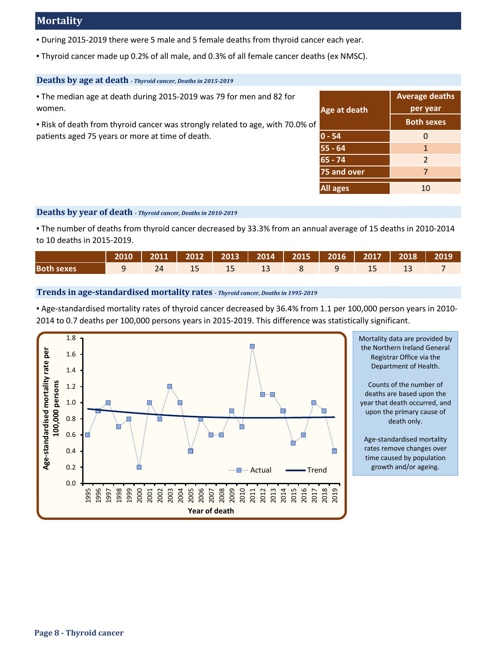# **Mortality**

- During 2015-2019 there were 5 male and 5 female deaths from thyroid cancer each year.
- Thyroid cancer made up 0.2% of all male, and 0.3% of all female cancer deaths (ex NMSC).

### **Deaths by age at death** *- Thyroid cancer, Deaths in 2015-2019*

| . The median age at death during 2015-2019 was 79 for men and 82 for<br>women. | Age at death    | <b>Average deaths</b><br>per year |
|--------------------------------------------------------------------------------|-----------------|-----------------------------------|
| . Risk of death from thyroid cancer was strongly related to age, with 70.0% of |                 | <b>Both sexes</b>                 |
| patients aged 75 years or more at time of death.                               | $ 0 - 54 $      | 0                                 |
|                                                                                | 55 - 64         |                                   |
|                                                                                | $65 - 74$       | $\overline{2}$                    |
|                                                                                | 75 and over     |                                   |
|                                                                                | <b>All ages</b> | 10                                |

### **Deaths by year of death** *- Thyroid cancer, Deaths in 2010-2019*

▪ The number of deaths from thyroid cancer decreased by 33.3% from an annual average of 15 deaths in 2010-2014 to 10 deaths in 2015-2019.

|                                                                                                                       |  |  | 2010   2011   2012   2013   2014   2015   2016   2017   2018   2019 |  |  |  |
|-----------------------------------------------------------------------------------------------------------------------|--|--|---------------------------------------------------------------------|--|--|--|
| <b>Both sexes 8 8 9 9 9 9 9 13 9 14 15 15 15 16 17 16 17 17 17 17 17 17 17 17 17 17 17 18 17 18 17 18 17 18 17 18</b> |  |  |                                                                     |  |  |  |

### **Trends in age-standardised mortality rates** *- Thyroid cancer, Deaths in 1995-2019*

▪ Age-standardised mortality rates of thyroid cancer decreased by 36.4% from 1.1 per 100,000 person years in 2010- 2014 to 0.7 deaths per 100,000 persons years in 2015-2019. This difference was statistically significant.



Mortality data are provided by the Northern Ireland General Registrar Office via the Department of Health.

Counts of the number of deaths are based upon the year that death occurred, and upon the primary cause of death only.

Age-standardised mortality rates remove changes over time caused by population growth and/or ageing.